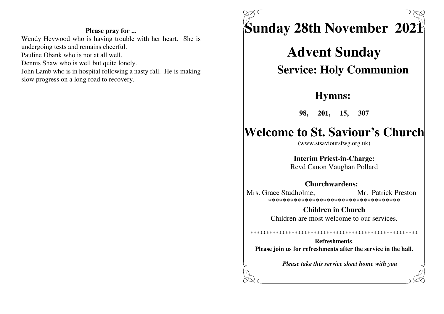#### Please pray for ...

Wendy Heywood who is having trouble with her heart. She is undergoing tests and remains cheerful. Pauline Obank who is not at all well. Dennis Shaw who is well but quite lonely. John Lamb who is in hospital following a nasty fall. He is making slow progress on a long road to recovery.



**Advent Sunday Service: Holy Communion** 

## **Hymns:**

98, 201, 15, 307

# **Welcome to St. Saviour's Church**

(www.stsavioursfwg.org.uk)

**Interim Priest-in-Charge:** Revd Canon Vaughan Pollard

## **Churchwardens:**

Mrs. Grace Studholme: Mr. Patrick Preston \*\*\*\*\*\*\*\*\*\*\*\*\*\*\*\*\*\*\*\*\*\*\*\*\*\*\*\*\*\*\*\*\*\*\*\*\*

> **Children in Church** Children are most welcome to our services.

**Refreshments** Please join us for refreshments after the service in the hall.

Please take this service sheet home with you